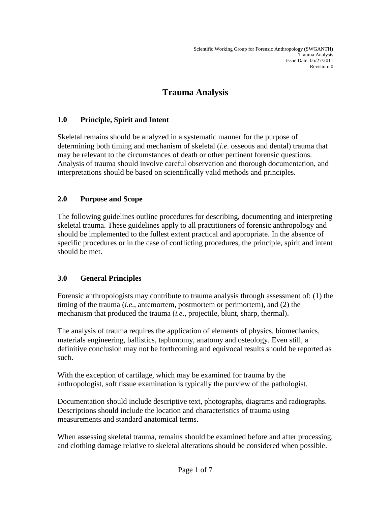# **Trauma Analysis**

# **1.0 Principle, Spirit and Intent**

Skeletal remains should be analyzed in a systematic manner for the purpose of determining both timing and mechanism of skeletal (*i.e.* osseous and dental) trauma that may be relevant to the circumstances of death or other pertinent forensic questions. Analysis of trauma should involve careful observation and thorough documentation, and interpretations should be based on scientifically valid methods and principles.

# **2.0 Purpose and Scope**

The following guidelines outline procedures for describing, documenting and interpreting skeletal trauma. These guidelines apply to all practitioners of forensic anthropology and should be implemented to the fullest extent practical and appropriate. In the absence of specific procedures or in the case of conflicting procedures, the principle, spirit and intent should be met.

# **3.0 General Principles**

Forensic anthropologists may contribute to trauma analysis through assessment of: (1) the timing of the trauma (*i.e*., antemortem, postmortem or perimortem), and (2) the mechanism that produced the trauma (*i.e.*, projectile, blunt, sharp, thermal).

The analysis of trauma requires the application of elements of physics, biomechanics, materials engineering, ballistics, taphonomy, anatomy and osteology. Even still, a definitive conclusion may not be forthcoming and equivocal results should be reported as such.

With the exception of cartilage, which may be examined for trauma by the anthropologist, soft tissue examination is typically the purview of the pathologist.

Documentation should include descriptive text, photographs, diagrams and radiographs. Descriptions should include the location and characteristics of trauma using measurements and standard anatomical terms.

When assessing skeletal trauma, remains should be examined before and after processing, and clothing damage relative to skeletal alterations should be considered when possible.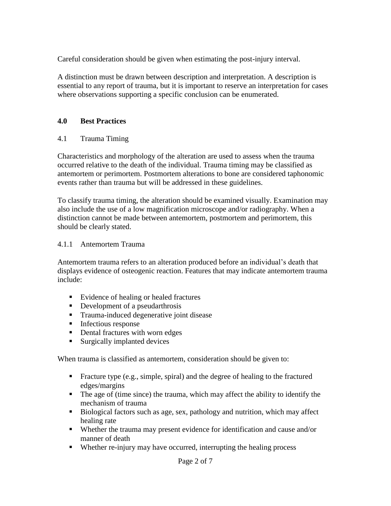Careful consideration should be given when estimating the post-injury interval.

A distinction must be drawn between description and interpretation. A description is essential to any report of trauma, but it is important to reserve an interpretation for cases where observations supporting a specific conclusion can be enumerated.

#### **4.0 Best Practices**

#### 4.1 Trauma Timing

Characteristics and morphology of the alteration are used to assess when the trauma occurred relative to the death of the individual. Trauma timing may be classified as antemortem or perimortem. Postmortem alterations to bone are considered taphonomic events rather than trauma but will be addressed in these guidelines.

To classify trauma timing, the alteration should be examined visually. Examination may also include the use of a low magnification microscope and/or radiography. When a distinction cannot be made between antemortem, postmortem and perimortem, this should be clearly stated.

#### 4.1.1 Antemortem Trauma

Antemortem trauma refers to an alteration produced before an individual's death that displays evidence of osteogenic reaction. Features that may indicate antemortem trauma include:

- Evidence of healing or healed fractures
- Development of a pseudarthrosis
- **Trauma-induced degenerative joint disease**
- $\blacksquare$  Infectious response
- Dental fractures with worn edges
- Surgically implanted devices

When trauma is classified as antemortem, consideration should be given to:

- Fracture type (e.g., simple, spiral) and the degree of healing to the fractured edges/margins
- The age of (time since) the trauma, which may affect the ability to identify the mechanism of trauma
- Biological factors such as age, sex, pathology and nutrition, which may affect healing rate
- Whether the trauma may present evidence for identification and cause and/or manner of death
- Whether re-injury may have occurred, interrupting the healing process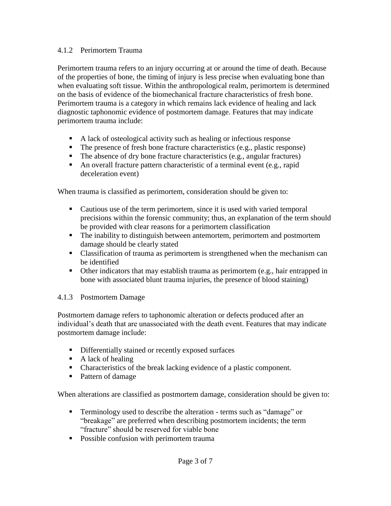#### 4.1.2 Perimortem Trauma

Perimortem trauma refers to an injury occurring at or around the time of death. Because of the properties of bone, the timing of injury is less precise when evaluating bone than when evaluating soft tissue. Within the anthropological realm, perimortem is determined on the basis of evidence of the biomechanical fracture characteristics of fresh bone. Perimortem trauma is a category in which remains lack evidence of healing and lack diagnostic taphonomic evidence of postmortem damage. Features that may indicate perimortem trauma include:

- A lack of osteological activity such as healing or infectious response
- $\blacksquare$  The presence of fresh bone fracture characteristics (e.g., plastic response)
- The absence of dry bone fracture characteristics (e.g., angular fractures)
- An overall fracture pattern characteristic of a terminal event (e.g., rapid deceleration event)

When trauma is classified as perimortem, consideration should be given to:

- Cautious use of the term perimortem, since it is used with varied temporal precisions within the forensic community; thus, an explanation of the term should be provided with clear reasons for a perimortem classification
- The inability to distinguish between antemortem, perimortem and postmortem damage should be clearly stated
- Classification of trauma as perimortem is strengthened when the mechanism can be identified
- Other indicators that may establish trauma as perimortem (e.g., hair entrapped in bone with associated blunt trauma injuries, the presence of blood staining)

## 4.1.3 Postmortem Damage

Postmortem damage refers to taphonomic alteration or defects produced after an individual's death that are unassociated with the death event. Features that may indicate postmortem damage include:

- **Differentially stained or recently exposed surfaces**
- $\blacksquare$  A lack of healing
- Characteristics of the break lacking evidence of a plastic component.
- Pattern of damage

When alterations are classified as postmortem damage, consideration should be given to:

- **Terminology used to describe the alteration terms such as "damage" or** "breakage" are preferred when describing postmortem incidents; the term "fracture" should be reserved for viable bone
- Possible confusion with perimortem trauma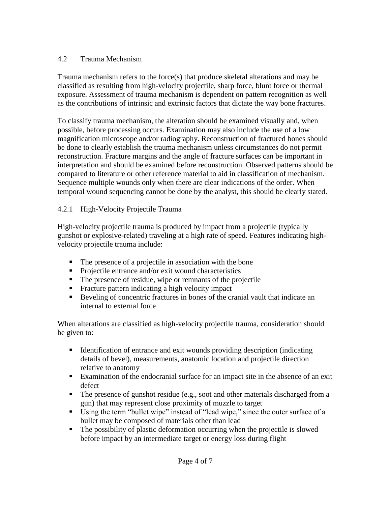## 4.2 Trauma Mechanism

Trauma mechanism refers to the force(s) that produce skeletal alterations and may be classified as resulting from high-velocity projectile, sharp force, blunt force or thermal exposure. Assessment of trauma mechanism is dependent on pattern recognition as well as the contributions of intrinsic and extrinsic factors that dictate the way bone fractures.

To classify trauma mechanism, the alteration should be examined visually and, when possible, before processing occurs. Examination may also include the use of a low magnification microscope and/or radiography. Reconstruction of fractured bones should be done to clearly establish the trauma mechanism unless circumstances do not permit reconstruction. Fracture margins and the angle of fracture surfaces can be important in interpretation and should be examined before reconstruction. Observed patterns should be compared to literature or other reference material to aid in classification of mechanism. Sequence multiple wounds only when there are clear indications of the order. When temporal wound sequencing cannot be done by the analyst, this should be clearly stated.

# 4.2.1 High-Velocity Projectile Trauma

High-velocity projectile trauma is produced by impact from a projectile (typically gunshot or explosive-related) traveling at a high rate of speed. Features indicating highvelocity projectile trauma include:

- The presence of a projectile in association with the bone
- **Projectile entrance and/or exit wound characteristics**
- The presence of residue, wipe or remnants of the projectile
- **Fracture pattern indicating a high velocity impact**
- Beveling of concentric fractures in bones of the cranial vault that indicate an internal to external force

When alterations are classified as high-velocity projectile trauma, consideration should be given to:

- Identification of entrance and exit wounds providing description (indicating details of bevel), measurements, anatomic location and projectile direction relative to anatomy
- Examination of the endocranial surface for an impact site in the absence of an exit defect
- The presence of gunshot residue (e.g., soot and other materials discharged from a gun) that may represent close proximity of muzzle to target
- Using the term "bullet wipe" instead of "lead wipe," since the outer surface of a bullet may be composed of materials other than lead
- The possibility of plastic deformation occurring when the projectile is slowed before impact by an intermediate target or energy loss during flight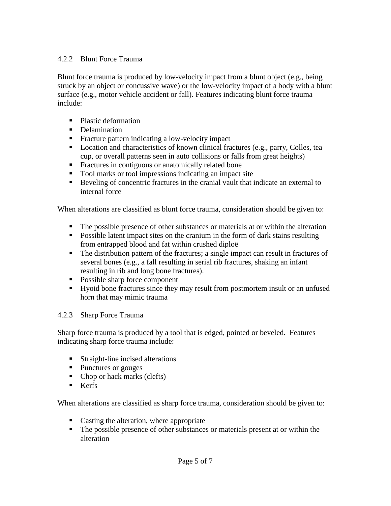## 4.2.2 Blunt Force Trauma

Blunt force trauma is produced by low-velocity impact from a blunt object (e.g., being struck by an object or concussive wave) or the low-velocity impact of a body with a blunt surface (e.g., motor vehicle accident or fall). Features indicating blunt force trauma include:

- Plastic deformation
- Delamination
- Fracture pattern indicating a low-velocity impact
- **Location and characteristics of known clinical fractures (e.g., parry, Colles, tea** cup, or overall patterns seen in auto collisions or falls from great heights)
- **Fractures in contiguous or anatomically related bone**
- Tool marks or tool impressions indicating an impact site
- Beveling of concentric fractures in the cranial vault that indicate an external to internal force

When alterations are classified as blunt force trauma, consideration should be given to:

- The possible presence of other substances or materials at or within the alteration
- Possible latent impact sites on the cranium in the form of dark stains resulting from entrapped blood and fat within crushed diploë
- The distribution pattern of the fractures; a single impact can result in fractures of several bones (e.g., a fall resulting in serial rib fractures, shaking an infant resulting in rib and long bone fractures).
- Possible sharp force component
- Hyoid bone fractures since they may result from postmortem insult or an unfused horn that may mimic trauma

#### 4.2.3 Sharp Force Trauma

Sharp force trauma is produced by a tool that is edged, pointed or beveled. Features indicating sharp force trauma include:

- **Straight-line incised alterations**
- Punctures or gouges
- Chop or hack marks (clefts)
- $\blacksquare$  Kerfs

When alterations are classified as sharp force trauma, consideration should be given to:

- Casting the alteration, where appropriate
- The possible presence of other substances or materials present at or within the alteration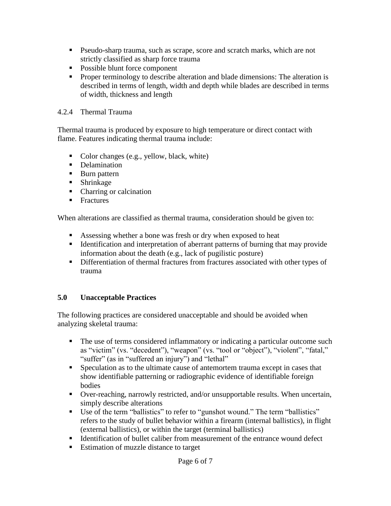- Pseudo-sharp trauma, such as scrape, score and scratch marks, which are not strictly classified as sharp force trauma
- Possible blunt force component
- **Proper terminology to describe alteration and blade dimensions: The alteration is** described in terms of length, width and depth while blades are described in terms of width, thickness and length

#### 4.2.4 Thermal Trauma

Thermal trauma is produced by exposure to high temperature or direct contact with flame. Features indicating thermal trauma include:

- Color changes (e.g., yellow, black, white)
- **Delamination**
- **Burn pattern**
- **Shrinkage**
- Charring or calcination
- $\blacksquare$  Fractures

When alterations are classified as thermal trauma, consideration should be given to:

- Assessing whether a bone was fresh or dry when exposed to heat
- Identification and interpretation of aberrant patterns of burning that may provide information about the death (e.g., lack of pugilistic posture)
- Differentiation of thermal fractures from fractures associated with other types of trauma

## **5.0 Unacceptable Practices**

The following practices are considered unacceptable and should be avoided when analyzing skeletal trauma:

- The use of terms considered inflammatory or indicating a particular outcome such as "victim" (vs. "decedent"), "weapon" (vs. "tool or "object"), "violent", "fatal," "suffer" (as in "suffered an injury") and "lethal"
- Speculation as to the ultimate cause of antemortem trauma except in cases that show identifiable patterning or radiographic evidence of identifiable foreign bodies
- Over-reaching, narrowly restricted, and/or unsupportable results. When uncertain, simply describe alterations
- Use of the term "ballistics" to refer to "gunshot wound." The term "ballistics" refers to the study of bullet behavior within a firearm (internal ballistics), in flight (external ballistics), or within the target (terminal ballistics)
- Identification of bullet caliber from measurement of the entrance wound defect
- Estimation of muzzle distance to target